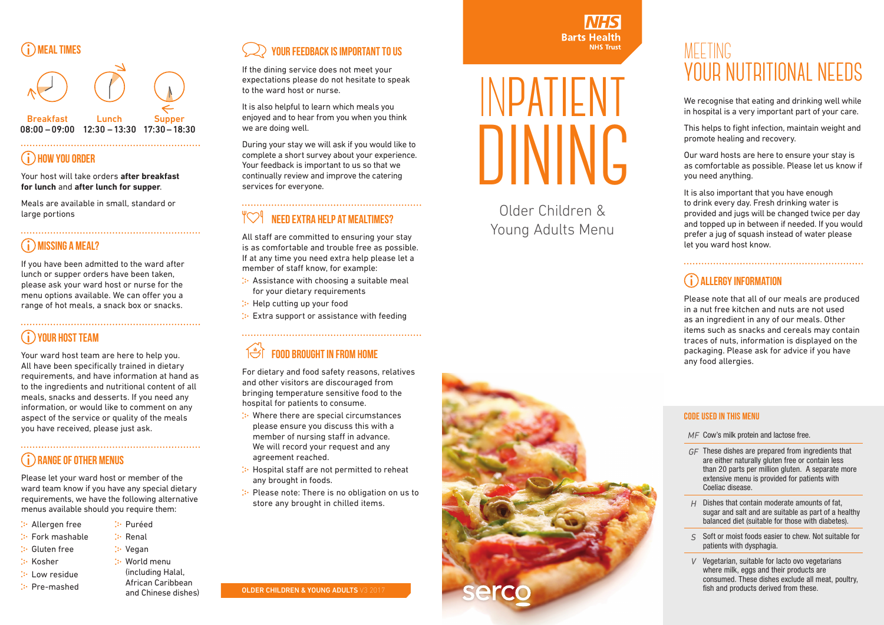IN**PATIENT DINING**

**Barts Health** 

**NHS Trust** 

Older Children & Young Adults Menu



# MEETING **YOUR NUTRITIONAL NEEDS**

We recognise that eating and drinking well while in hospital is a very important part of your care.

This helps to fight infection, maintain weight and promote healing and recovery.

Our ward hosts are here to ensure your stay is as comfortable as possible. Please let us know if you need anything.

It is also important that you have enough to drink every day. Fresh drinking water is provided and jugs will be changed twice per day and topped up in between if needed. If you would prefer a jug of squash instead of water please let you ward host know.

# **ALLERGY INFORMATION**

Please note that all of our meals are produced in a nut free kitchen and nuts are not used as an ingredient in any of our meals. Other items such as snacks and cereals may contain traces of nuts, information is displayed on the packaging. Please ask for advice if you have any food allergies.



# **HOW YOU ORDER**

Your host will take orders **after breakfast for lunch** and **after lunch for supper**.

Meals are available in small, standard or large portions

#### **MISSING A MEAL?**

If you have been admitted to the ward after lunch or supper orders have been taken, please ask your ward host or nurse for the menu options available. We can offer you a range of hot meals, a snack box or snacks.

#### **YOUR HOST TEAM**

- : Assistance with choosing a suitable meal for your dietary requirements
- **:** Help cutting up your food
- Extra support or assistance with feeding

# **THE FOOD BROUGHT IN FROM HOME**

Your ward host team are here to help you. All have been specifically trained in dietary requirements, and have information at hand as to the ingredients and nutritional content of all meals, snacks and desserts. If you need any information, or would like to comment on any aspect of the service or quality of the meals you have received, please just ask.

#### **RANGE OF OTHER MENUS**

Please let your ward host or member of the ward team know if you have any special dietary requirements, we have the following alternative menus available should you require them:

- Allergen free
- Fork mashable
- Gluten free
- $\therefore$  Kosher
- **:** Low residue
- $\therefore$  Pre-mashed
- **:** Puréed  $\therefore$  Renal
	- **:** Vegan
	- **: World menu** 
		- (including Halal, African Caribbean and Chinese dishes)

# **YOUR FEEDBACK IS IMPORTANT TO US**

If the dining service does not meet your expectations please do not hesitate to speak to the ward host or nurse.

It is also helpful to learn which meals you enjoyed and to hear from you when you think we are doing well.

During your stay we will ask if you would like to complete a short survey about your experience. Your feedback is important to us so that we continually review and improve the catering services for everyone.

#### **NEED EXTRA HELP AT MEALTIMES?**

All staff are committed to ensuring your stay is as comfortable and trouble free as possible. If at any time you need extra help please let a member of staff know, for example:

For dietary and food safety reasons, relatives and other visitors are discouraged from bringing temperature sensitive food to the hospital for patients to consume.

- Where there are special circumstances please ensure you discuss this with a member of nursing staff in advance. We will record your request and any agreement reached.
- : Hospital staff are not permitted to reheat any brought in foods.
- Please note: There is no obligation on us to store any brought in chilled items.

**OLDER CHILDREN & YOUNG ADULTS V3 2017** 

#### **Code used in this menu**

- *MF* Cow's milk protein and lactose free.
- *GF* These dishes are prepared from ingredients that are either naturally gluten free or contain less than 20 parts per million gluten. A separate more extensive menu is provided for patients with Coeliac disease.
- *H* Dishes that contain moderate amounts of fat, sugar and salt and are suitable as part of a healthy balanced diet (suitable for those with diabetes).
- *S* Soft or moist foods easier to chew. Not suitable for patients with dysphagia.
- *V* Vegetarian, suitable for lacto ovo vegetarians where milk, eggs and their products are consumed. These dishes exclude all meat, poultry, fish and products derived from these.